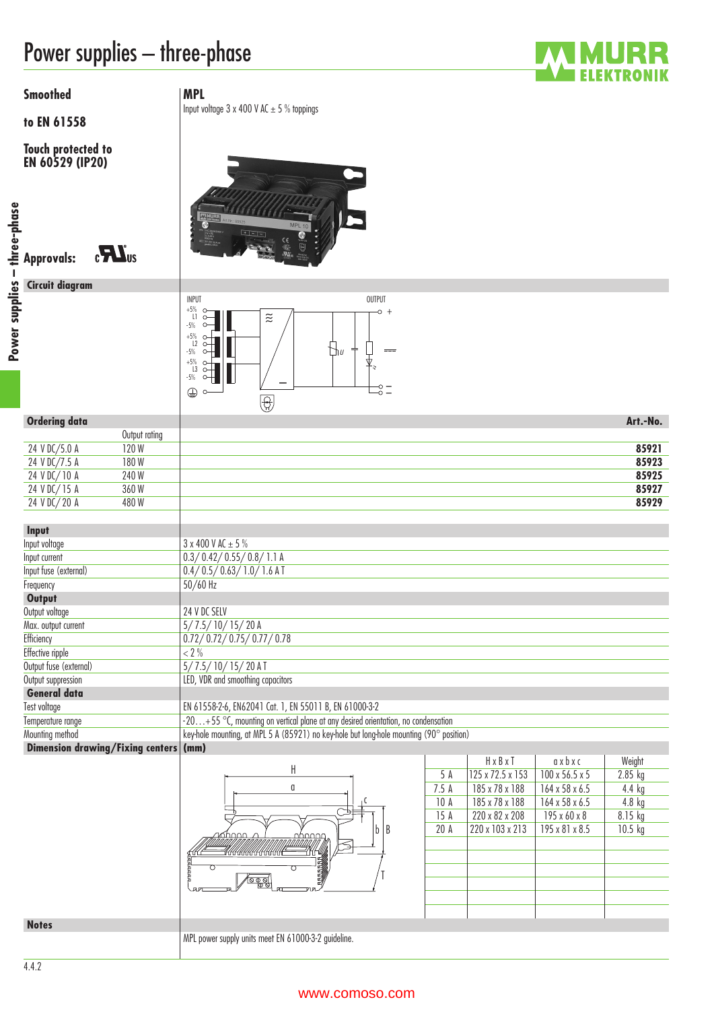**MPL**

#### **Smoothed**

**to EN 61558**

**Approvals:**

**Circuit diagram**

 $c\sum_{i=1}^{n}$ 

**Touch protected to EN 60529 (IP20)**



Input voltage  $3 \times 400$  V AC  $\pm 5$  % toppings



| <b>Ordering data</b>                  |               | Art.-No.                                                                                |
|---------------------------------------|---------------|-----------------------------------------------------------------------------------------|
|                                       | Output rating |                                                                                         |
| 24 V DC/5.0 A                         | 120W          | 85921                                                                                   |
| 24 V DC/7.5 A                         | 180W          | 85923                                                                                   |
| 24 V DC/10 A                          | 240W          | 85925                                                                                   |
| 24 V DC/ 15 A                         | 360W          | 85927                                                                                   |
| 24 V DC/20 A                          | 480W          | 85929                                                                                   |
|                                       |               |                                                                                         |
| Input                                 |               |                                                                                         |
| Input voltage                         |               | $3 \times 400$ V AC $\pm$ 5 %                                                           |
| Input current                         |               | $0.3/0.42/0.55/0.8/1.1$ A                                                               |
| Input fuse (external)                 |               | $0.4/0.5/0.63/1.0/1.6$ AT                                                               |
| Frequency                             |               | $50/60$ Hz                                                                              |
| Output                                |               |                                                                                         |
| Output voltage                        |               | 24 V DC SELV                                                                            |
| Max. output current                   |               | 5/7.5/10/15/20A                                                                         |
| Efficiency                            |               | 0.72/0.72/0.75/0.77/0.78                                                                |
| Effective ripple                      |               | $< 2\%$                                                                                 |
| Output fuse (external)                |               | $5/7.5/10/15/20$ AT                                                                     |
| Output suppression                    |               | LED, VDR and smoothing capacitors                                                       |
| <b>General data</b>                   |               |                                                                                         |
| Test voltage                          |               | EN 61558-2-6, EN62041 Cat. 1, EN 55011 B, EN 61000-3-2                                  |
| Temperature range                     |               | $-20+55$ °C, mounting on vertical plane at any desired orientation, no condensation     |
| Mounting method                       |               | key-hole mounting, at MPL 5 A (85921) no key-hole but long-hole mounting (90° position) |
| Dimension drawing/Fixing centers (mm) |               |                                                                                         |



| H x B x T<br>$ax$ $bx$ $c$<br>Weight                                           |  |
|--------------------------------------------------------------------------------|--|
|                                                                                |  |
| $2.85$ kg<br>$125 \times 72.5 \times 153$<br>$100 \times 56.5 \times 5$<br>5 A |  |
| 185 x 78 x 188<br>$4.4$ kg<br>7.5A<br>$164 \times 58 \times 6.5$               |  |
| 185 x 78 x 188<br>$4.8$ kg<br>10A<br>$164 \times 58 \times 6.5$                |  |
| 220 x 82 x 208<br>8.15 kg<br>15A<br>$195 \times 60 \times 8$                   |  |
| 20A<br>220 x 103 x 213<br>195 x 81 x 8.5<br>$10.5$ kg                          |  |
|                                                                                |  |
|                                                                                |  |
|                                                                                |  |
|                                                                                |  |
|                                                                                |  |
|                                                                                |  |

**Notes**

MPL power supply units meet EN 61000-3-2 guideline.

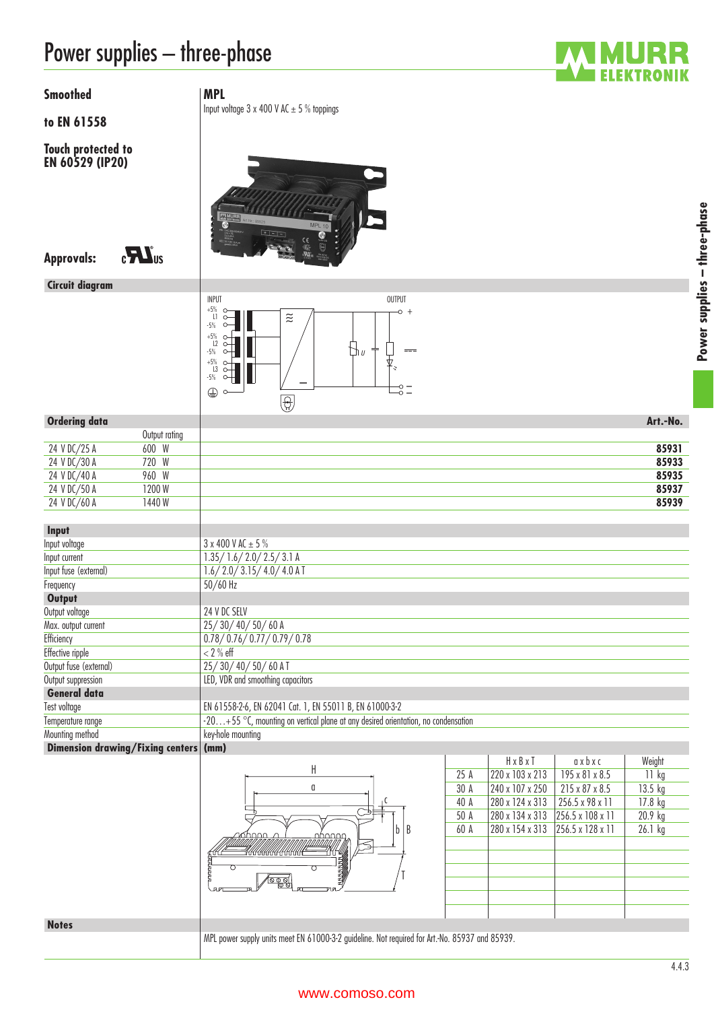$\mathbf{L}$ <sub>us</sub>

**MPL**

#### **Smoothed**

**to EN 61558**

**Touch protected to EN 60529 (IP20)**





**Circuit diagram**

**Approvals:**



|                                       |               |                                                                                     | ◡ |  |                   |       |               |
|---------------------------------------|---------------|-------------------------------------------------------------------------------------|---|--|-------------------|-------|---------------|
| <b>Ordering data</b>                  |               |                                                                                     |   |  |                   |       | Art.-No.      |
|                                       | Output rating |                                                                                     |   |  |                   |       |               |
| 24 V DC/25 A                          | 600 W         |                                                                                     |   |  |                   |       | 85931         |
| 24 V DC/30 A                          | 720 W         |                                                                                     |   |  |                   |       | 85933         |
| 24 V DC/40 A                          | 960 W         |                                                                                     |   |  |                   |       | 85935         |
| 24 V DC/50 A                          | 1200W         |                                                                                     |   |  |                   |       | 85937         |
| 24 V DC/60 A                          | 1440W         |                                                                                     |   |  |                   |       | 85939         |
|                                       |               |                                                                                     |   |  |                   |       |               |
| Input                                 |               |                                                                                     |   |  |                   |       |               |
| Input voltage                         |               | $3 \times 400$ V AC $\pm$ 5 %                                                       |   |  |                   |       |               |
| Input current                         |               | $1.35/1.6/2.0/2.5/3.1$ A                                                            |   |  |                   |       |               |
| Input fuse (external)                 |               | 1.6 / 2.0 / 3.15 / 4.0 / 4.0 A T                                                    |   |  |                   |       |               |
| Frequency                             |               | $50/60$ Hz                                                                          |   |  |                   |       |               |
| Output                                |               |                                                                                     |   |  |                   |       |               |
| Output voltage                        |               | 24 V DC SELV                                                                        |   |  |                   |       |               |
| Max. output current                   |               | 25/30/40/50/60A                                                                     |   |  |                   |       |               |
| Efficiency                            |               | 0.78 / 0.76 / 0.77 / 0.79 / 0.78                                                    |   |  |                   |       |               |
| Effective ripple                      |               | $< 2 %$ eff                                                                         |   |  |                   |       |               |
| Output fuse (external)                |               | 25/30/40/50/60AT                                                                    |   |  |                   |       |               |
| Output suppression                    |               | LED, VDR and smoothing capacitors                                                   |   |  |                   |       |               |
| <b>General data</b>                   |               |                                                                                     |   |  |                   |       |               |
| Test voltage                          |               | EN 61558-2-6, EN 62041 Cat. 1, EN 55011 B, EN 61000-3-2                             |   |  |                   |       |               |
| Temperature range                     |               | $-20+55$ °C, mounting on vertical plane at any desired orientation, no condensation |   |  |                   |       |               |
| Mounting method                       |               | key-hole mounting                                                                   |   |  |                   |       |               |
| Dimension drawing/Fixing centers (mm) |               |                                                                                     |   |  |                   |       |               |
|                                       |               |                                                                                     |   |  | $H \vee R \vee T$ | avhve | <b>Weinht</b> |



|      | HxBxT           | $a \times b \times c$ | Weight    |
|------|-----------------|-----------------------|-----------|
| 25 A | 220 x 103 x 213 | 195 x 81 x 8.5        | $11$ kg   |
| 30 A | 240 x 107 x 250 | 215 x 87 x 8.5        | 13.5 kg   |
| 40 A | 280 x 124 x 313 | 256.5 x 98 x 11       | $17.8$ kg |
| 50 A | 280 x 134 x 313 | 256.5 x 108 x 11      | 20.9 kg   |
| 60 A | 280 x 154 x 313 | 256.5 x 128 x 11      | $26.1$ kg |
|      |                 |                       |           |
|      |                 |                       |           |
|      |                 |                       |           |
|      |                 |                       |           |
|      |                 |                       |           |
|      |                 |                       |           |

**Notes**

MPL power supply units meet EN 61000-3-2 guideline. Not required for Art.-No. 85937 and 85939.

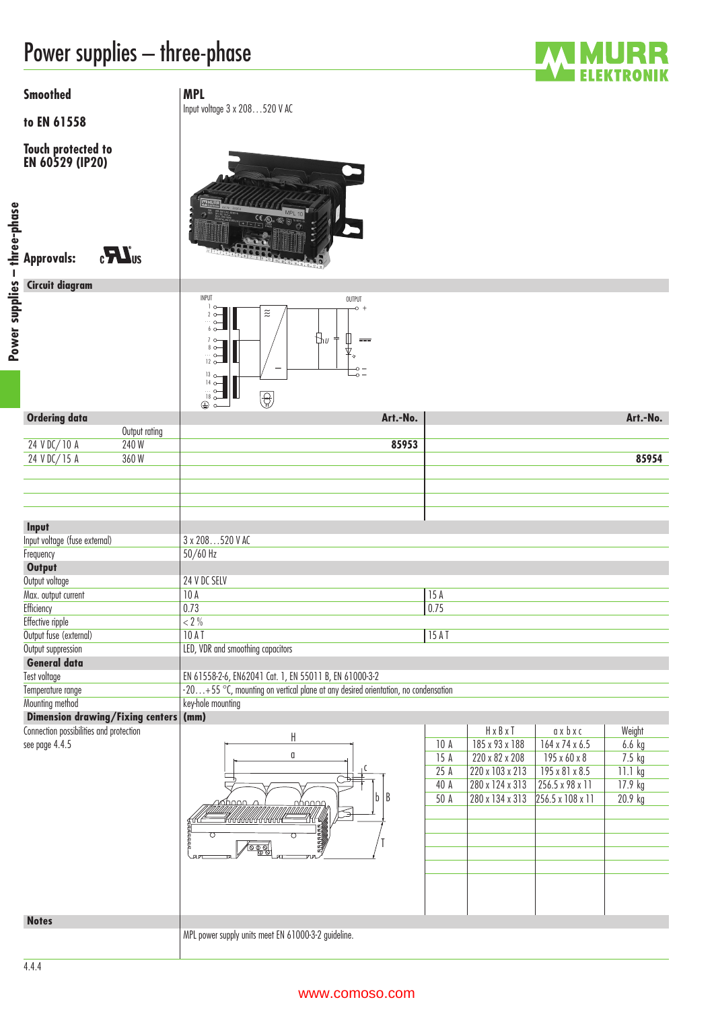

<span id="page-2-0"></span>**Smoothed**

**to EN 61558**

**Touch protected to EN 60529 (IP20)**

# **DOM**  $\sum_{s}$

Input voltage 3 x 208…520 V AC

**MPL**





|                                         | $\Leftrightarrow$ $\circ$ $\longrightarrow$<br>◡                                  |                                                                   |  |  |  |  |  |  |  |  |
|-----------------------------------------|-----------------------------------------------------------------------------------|-------------------------------------------------------------------|--|--|--|--|--|--|--|--|
| <b>Ordering data</b>                    | Art.-No.                                                                          | Art.-No.                                                          |  |  |  |  |  |  |  |  |
| Output rating                           |                                                                                   |                                                                   |  |  |  |  |  |  |  |  |
| 240W<br>24 VDC/10 A                     | 85953                                                                             |                                                                   |  |  |  |  |  |  |  |  |
| 24 V DC/ 15 A<br>360W                   |                                                                                   | 85954                                                             |  |  |  |  |  |  |  |  |
|                                         |                                                                                   |                                                                   |  |  |  |  |  |  |  |  |
|                                         |                                                                                   |                                                                   |  |  |  |  |  |  |  |  |
|                                         |                                                                                   |                                                                   |  |  |  |  |  |  |  |  |
|                                         |                                                                                   |                                                                   |  |  |  |  |  |  |  |  |
| Input                                   | 3 x 208520 V AC                                                                   |                                                                   |  |  |  |  |  |  |  |  |
| Input voltage (fuse external)           |                                                                                   |                                                                   |  |  |  |  |  |  |  |  |
| Frequency                               | $50/60$ Hz                                                                        |                                                                   |  |  |  |  |  |  |  |  |
| Output                                  |                                                                                   |                                                                   |  |  |  |  |  |  |  |  |
| Output voltage                          | 24 V DC SELV                                                                      |                                                                   |  |  |  |  |  |  |  |  |
| Max. output current                     | 10A                                                                               | 15A                                                               |  |  |  |  |  |  |  |  |
| Efficiency                              | 0.73                                                                              | 0.75                                                              |  |  |  |  |  |  |  |  |
| <b>Effective ripple</b>                 | $< 2\%$                                                                           |                                                                   |  |  |  |  |  |  |  |  |
| Output fuse (external)                  | 10AT                                                                              | 15AT                                                              |  |  |  |  |  |  |  |  |
| Output suppression                      | LED, VDR and smoothing capacitors                                                 |                                                                   |  |  |  |  |  |  |  |  |
| <b>General data</b>                     |                                                                                   |                                                                   |  |  |  |  |  |  |  |  |
| Test voltage                            | EN 61558-2-6, EN62041 Cat. 1, EN 55011 B, EN 61000-3-2                            |                                                                   |  |  |  |  |  |  |  |  |
| Temperature range                       | -20+55 °C, mounting on vertical plane at any desired orientation, no condensation |                                                                   |  |  |  |  |  |  |  |  |
| Mounting method                         | key-hole mounting                                                                 |                                                                   |  |  |  |  |  |  |  |  |
| Dimension drawing/Fixing centers        | (mm)                                                                              |                                                                   |  |  |  |  |  |  |  |  |
| Connection possibilities and protection | H                                                                                 | HxBxT<br>Weight<br>$a \times b \times c$                          |  |  |  |  |  |  |  |  |
| see page 4.4.5                          |                                                                                   | 185 x 93 x 188<br>$164 \times 74 \times 6.5$<br>10A<br>$6.6$ kg   |  |  |  |  |  |  |  |  |
|                                         | a                                                                                 | 15A<br>$7.5$ kg<br>220 x 82 x 208<br>195 x 60 x 8                 |  |  |  |  |  |  |  |  |
|                                         |                                                                                   | 25A<br>$195 \times 81 \times 8.5$<br>$11.1$ kg<br>220 x 103 x 213 |  |  |  |  |  |  |  |  |
|                                         |                                                                                   | 40 A<br>280 x 124 x 313<br>256.5 x 98 x 11<br>17.9 kg             |  |  |  |  |  |  |  |  |
|                                         | $\mathsf b$<br>B<br>mhnnn<br>ahaaaa                                               | 50A<br>280 x 134 x 313<br>256.5 x 108 x 11<br>20.9 kg             |  |  |  |  |  |  |  |  |
|                                         | ИШШИЦИЦИ                                                                          |                                                                   |  |  |  |  |  |  |  |  |
|                                         |                                                                                   |                                                                   |  |  |  |  |  |  |  |  |
|                                         | ENHAND<br>Anglica<br>Anglica<br><b>RARRAL</b>                                     |                                                                   |  |  |  |  |  |  |  |  |
|                                         | ଵୄୄୄୄୄୄଵ                                                                          |                                                                   |  |  |  |  |  |  |  |  |
|                                         |                                                                                   |                                                                   |  |  |  |  |  |  |  |  |
|                                         |                                                                                   |                                                                   |  |  |  |  |  |  |  |  |
|                                         |                                                                                   |                                                                   |  |  |  |  |  |  |  |  |
|                                         |                                                                                   |                                                                   |  |  |  |  |  |  |  |  |
| <b>Notes</b>                            |                                                                                   |                                                                   |  |  |  |  |  |  |  |  |
|                                         | MPL power supply units meet EN 61000-3-2 guideline.                               |                                                                   |  |  |  |  |  |  |  |  |
|                                         |                                                                                   |                                                                   |  |  |  |  |  |  |  |  |

### www.comoso.com